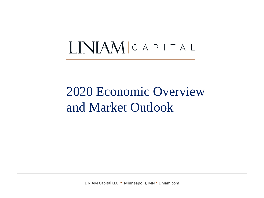# LINIAM CAPITAL

# 2020 Economic Overview and Market Outlook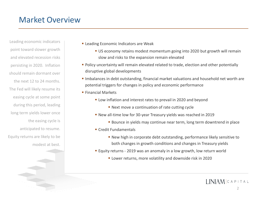### Market Overview

Leading economic indicators point toward slower growth and elevated recession risks persisting in 2020. Inflation should remain dormant over the next 12 to 24 months. The Fed will likely resume its easing cycle at some point during this period, leading long term yields lower once the easing cycle is anticipated to resume. Equity returns are likely to be modest at best.

- **Exercise Expression Leading Economic Indicators are Weak** 
	- **US economy retains modest momentum going into 2020 but growth will remain** slow and risks to the expansion remain elevated
- **Policy uncertainty will remain elevated related to trade, election and other potentially** disruptive global developments
- **.** Imbalances in debt outstanding, financial market valuations and household net worth are potential triggers for changes in policy and economic performance
- Financial Markets
	- Low inflation and interest rates to prevail in 2020 and beyond
		- Next move a continuation of rate cutting cycle
	- New all-time low for 30-year Treasury yields was reached in 2019
		- **E** Bounce in yields may continue near term, long term downtrend in place
	- Credit Fundamentals
		- New high in corporate debt outstanding, performance likely sensitive to both changes in growth conditions and changes in Treasury yields
	- Equity returns 2019 was an anomaly in a low growth, low return world
		- Lower returns, more volatility and downside risk in 2020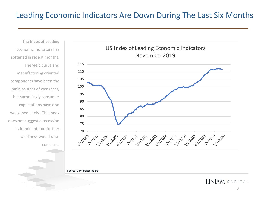#### Leading Economic Indicators Are Down During The Last Six Months

The Index of Leading Economic Indicators has softened in recent months. The yield curve and manufacturing oriented components have been the main sources of weakness, but surprisingly consumer expectations have also weakened lately. The index does not suggest a recession is imminent, but further weakness would raise concerns.



Source: Conference Board.

LINIAM CAPITAL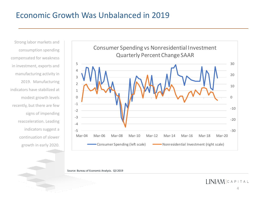#### Economic Growth Was Unbalanced in 2019

Strong labor markets and consumption spending compensated for weakness in investment, exports and manufacturing activity in 2019. Manufacturing indicators have stabilized at modest growth levels recently, but there are few signs of impending reacceleration. Leading indicators suggest a continuation of slower growth in early 2020.



Source: Bureau of Economic Analysis. Q3 2019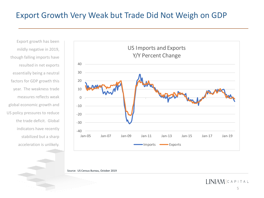# Export Growth Very Weak but Trade Did Not Weigh on GDP

Export growth has been mildly negative in 2019, though falling imports have resulted in net exports essentially being a neutral factors for GDP growth this year. The weakness trade measures reflects weak global economic growth and US policy pressures to reduce the trade deficit. Global indicators have recently stabilized but a sharp acceleration is unlikely.



Source: US Census Bureau, October 2019

 $I INIAM CAPITAL$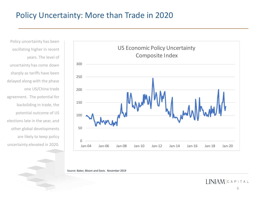### Policy Uncertainty: More than Trade in 2020

Policy uncertainty has been oscillating higher in recent years. The level of uncertainty has come down sharply as tariffs have been delayed along with the phase one US/China trade agreement. The potential for backsliding in trade, the potential outcome of US elections late in the year, and other global developments are likely to keep policy uncertainty elevated in 2020.



Source: Baker, Bloom and Davis. November 2019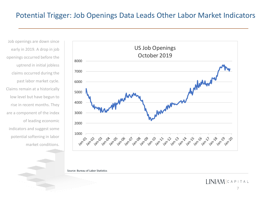#### Potential Trigger: Job Openings Data Leads Other Labor Market Indicators

Job openings are down since early in 2019. A drop in job openings occurred before the uptrend in initial jobless claims occurred during the past labor market cycle. Claims remain at a historically low level but have begun to rise in recent months. They are a component of the index of leading economic indicators and suggest some potential softening in labor market conditions.



Source: Bureau of Labor Statistics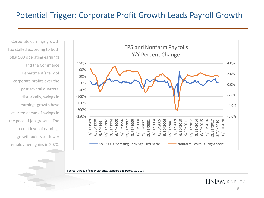### Potential Trigger: Corporate Profit Growth Leads Payroll Growth

Corporate earnings growth has stalled according to both S&P 500 operating earnings and the Commerce Department's tally of corporate profits over the past several quarters. Historically, swings in earnings growth have occurred ahead of swings in the pace of job growth. The recent level of earnings growth points to slower employment gains in 2020.



Source: Bureau of Labor Statistics, Standard and Poors. Q3 2019

LINIAM CAPITAL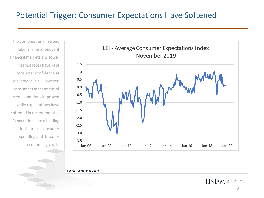### Potential Trigger: Consumer Expectations Have Softened

The combination of strong labor markets, buoyant financial markets and lower interest rates have kept consumer confidence at elevated levels. However, consumers assessment of current conditions improved while expectations have softened in recent months. Expectations are a leading indicator of consumer spending and broader economic growth.



Source: Conference Board

 $I INIAM CAPITAL$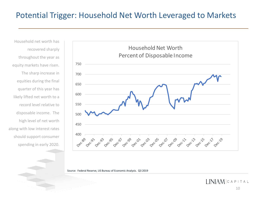### Potential Trigger: Household Net Worth Leveraged to Markets

Household net worth has recovered sharply throughout the year as equity markets have risen. The sharp increase in equities during the final quarter of this year has likely lifted net worth to a record level relative to disposable income. The high level of net worth along with low interest rates should support consumer spending in early 2020.



Source: Federal Reserve, US Bureau of Economic Analysis. Q3 2019

 $I INIAM CAPITAL$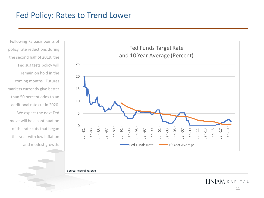#### Fed Policy: Rates to Trend Lower

Following 75 basis points of policy rate reductions during the second half of 2019, the Fed suggests policy will remain on hold in the coming months. Futures markets currently give better than 50 percent odds to an additional rate cut in 2020. We expect the next Fed move will be a continuation of the rate cuts that began this year with low inflation and modest growth.



Source: Federal Reserve

**I.INIAM** CAPITAL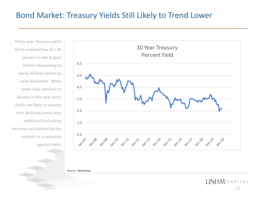#### Bond Market: Treasury Yields Still Likely to Trend Lower

Thirty-year Treasury yields fell to a record low of 1.95 percent in late August before rebounding by nearly 50 basis points by early November. While yields may continue to bounce in the near term, yields are likely to resume their declining trend once additional Fed easing becomes anticipated by the markets or a recession appears likely.



Source: Bloomberg

 $LMAMCAPITAL$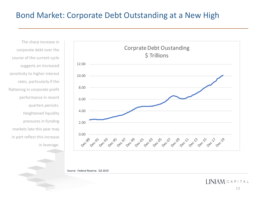### Bond Market: Corporate Debt Outstanding at a New High

The sharp increase in corporate debt over the course of the current cycle suggests an increased sensitivity to higher interest rates, particularly if the flattening in corporate profit performance in recent quarters persists. Heightened liquidity pressures in funding markets late this year may in part reflect this increase in leverage.



Source: Federal Reserve. Q3 2019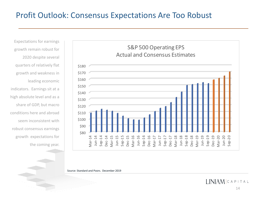# Profit Outlook: Consensus Expectations Are Too Robust

Expectations for earnings growth remain robust for 2020 despite several quarters of relatively flat growth and weakness in leading economic indicators. Earnings sit at a high absolute level and as a share of GDP, but macro conditions here and abroad seem inconsistent with robust consensus earnings growth expectations for the coming year.



Source: Standard and Poors. December 2019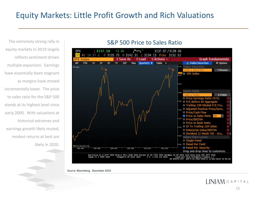# Equity Markets: Little Profit Growth and Rich Valuations

The extremely strong rally in equity markets in 2019 largely reflects sentiment driven multiple expansion. Earnings have essentially been stagnant as margins have moved incrementally lower. The price to sales ratio for the S&P 500 stands at its highest level since early 2000. With valuations at historical extremes and earnings growth likely muted, modest returns at best are likely in 2020.

#### S&P 500 Price to Sales Ratio



Source: Bloomberg. December 2019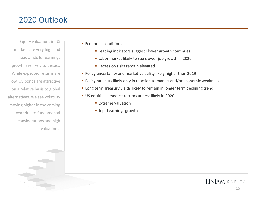# 2020 Outlook

Equity valuations in US markets are very high and headwinds for earnings growth are likely to persist. While expected returns are low, US bonds are attractive on a relative basis to global alternatives. We see volatility moving higher in the coming year due to fundamental considerations and high valuations.

- **Economic conditions** 
	- **E** Leading indicators suggest slower growth continues
	- Labor market likely to see slower job growth in 2020
	- **E** Recession risks remain elevated
- Policy uncertainty and market volatility likely higher than 2019
- Policy rate cuts likely only in reaction to market and/or economic weakness
- **EX Long term Treasury yields likely to remain in longer term declining trend**
- US equities modest returns at best likely in 2020
	- **Extreme valuation**
	- **Tepid earnings growth**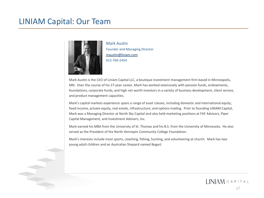#### LINIAM Capital: Our Team



Mark Austin Founder and Managing Director [maustin@liniam.com](mailto:maustin@liniam.com) 612-760-2454

Mark Austin is the CEO of Liniam Capital LLC, a boutique investment management firm based in Minneapolis, MN. Over the course of his 27-year career, Mark has worked extensively with pension funds, endowments, foundations, corporate funds, and high net worth investors in a variety of business development, client service, and product management capacities.

Mark's capital markets experience spans a range of asset classes, including domestic and international equity, fixed income, private equity, real estate, infrastructure, and options trading. Prior to founding LINIAM Capital, Mark was a Managing Director at North Sky Capital and also held marketing positions at FAF Advisors, Piper Capital Management, and Investment Advisers, Inc.

Mark earned his MBA from the University of St. Thomas and his B.S. from the University of Minnesota. He also served as the President of the North Hennepin Community College Foundation.

Mark's interests include most sports, coaching, fishing, hunting, and volunteering at church. Mark has two young adult children and an Australian Shepard named Bogart.

17